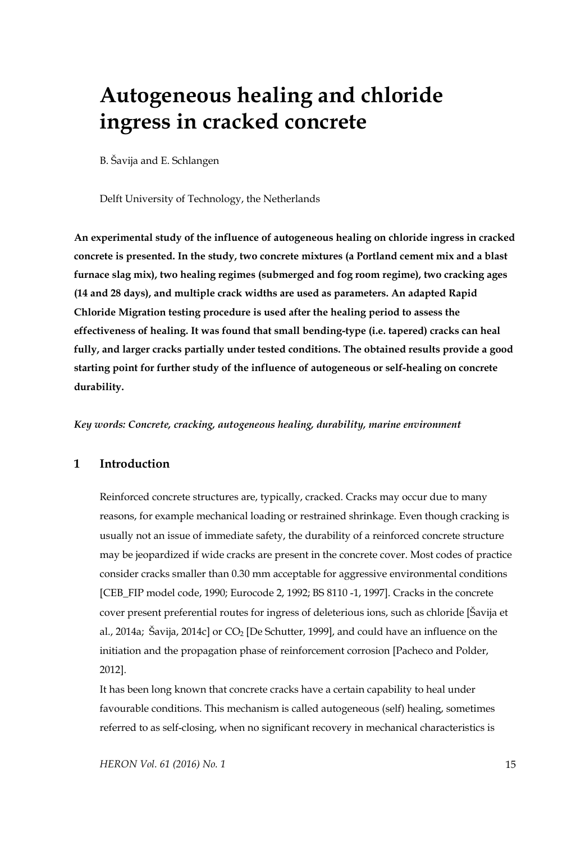# **Autogeneous healing and chloride ingress in cracked concrete**

B. Šavija and E. Schlangen

Delft University of Technology, the Netherlands

**An experimental study of the influence of autogeneous healing on chloride ingress in cracked concrete is presented. In the study, two concrete mixtures (a Portland cement mix and a blast furnace slag mix), two healing regimes (submerged and fog room regime), two cracking ages (14 and 28 days), and multiple crack widths are used as parameters. An adapted Rapid Chloride Migration testing procedure is used after the healing period to assess the effectiveness of healing. It was found that small bending-type (i.e. tapered) cracks can heal fully, and larger cracks partially under tested conditions. The obtained results provide a good starting point for further study of the influence of autogeneous or self-healing on concrete durability.** 

*Key words: Concrete, cracking, autogeneous healing, durability, marine environment* 

# **1 Introduction**

Reinforced concrete structures are, typically, cracked. Cracks may occur due to many reasons, for example mechanical loading or restrained shrinkage. Even though cracking is usually not an issue of immediate safety, the durability of a reinforced concrete structure may be jeopardized if wide cracks are present in the concrete cover. Most codes of practice consider cracks smaller than 0.30 mm acceptable for aggressive environmental conditions [CEB\_FIP model code, 1990; Eurocode 2, 1992; BS 8110 -1, 1997]. Cracks in the concrete cover present preferential routes for ingress of deleterious ions, such as chloride [Šavija et al., 2014a; Šavija, 2014c] or  $CO<sub>2</sub>$  [De Schutter, 1999], and could have an influence on the initiation and the propagation phase of reinforcement corrosion [Pacheco and Polder, 2012].

It has been long known that concrete cracks have a certain capability to heal under favourable conditions. This mechanism is called autogeneous (self) healing, sometimes referred to as self-closing, when no significant recovery in mechanical characteristics is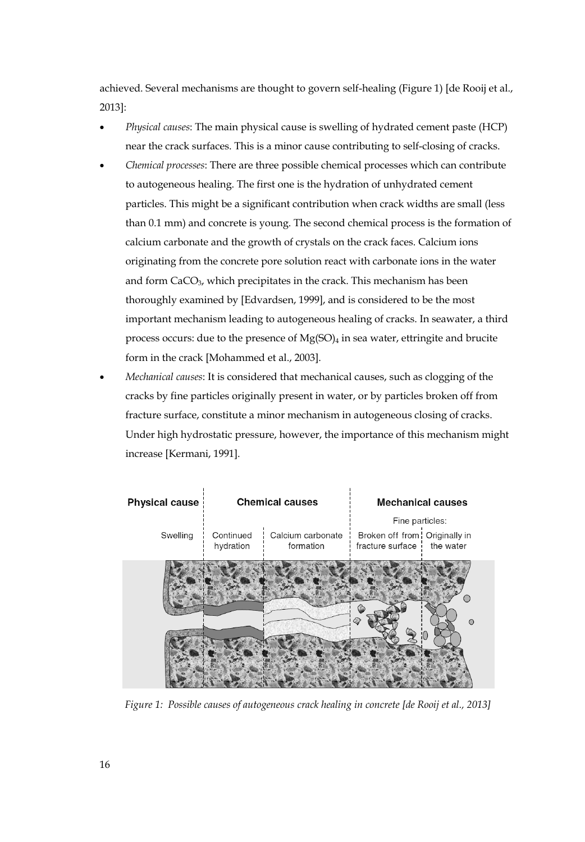achieved. Several mechanisms are thought to govern self-healing (Figure 1) [de Rooij et al., 2013]:

- *Physical causes*: The main physical cause is swelling of hydrated cement paste (HCP) near the crack surfaces. This is a minor cause contributing to self-closing of cracks.
- *Chemical processes*: There are three possible chemical processes which can contribute to autogeneous healing. The first one is the hydration of unhydrated cement particles. This might be a significant contribution when crack widths are small (less than 0.1 mm) and concrete is young. The second chemical process is the formation of calcium carbonate and the growth of crystals on the crack faces. Calcium ions originating from the concrete pore solution react with carbonate ions in the water and form CaCO3, which precipitates in the crack. This mechanism has been thoroughly examined by [Edvardsen, 1999], and is considered to be the most important mechanism leading to autogeneous healing of cracks. In seawater, a third process occurs: due to the presence of  $Mg(SO)_4$  in sea water, ettringite and brucite form in the crack [Mohammed et al., 2003].
- *Mechanical causes*: It is considered that mechanical causes, such as clogging of the cracks by fine particles originally present in water, or by particles broken off from fracture surface, constitute a minor mechanism in autogeneous closing of cracks. Under high hydrostatic pressure, however, the importance of this mechanism might increase [Kermani, 1991].



*Figure 1: Possible causes of autogeneous crack healing in concrete [de Rooij et al., 2013]*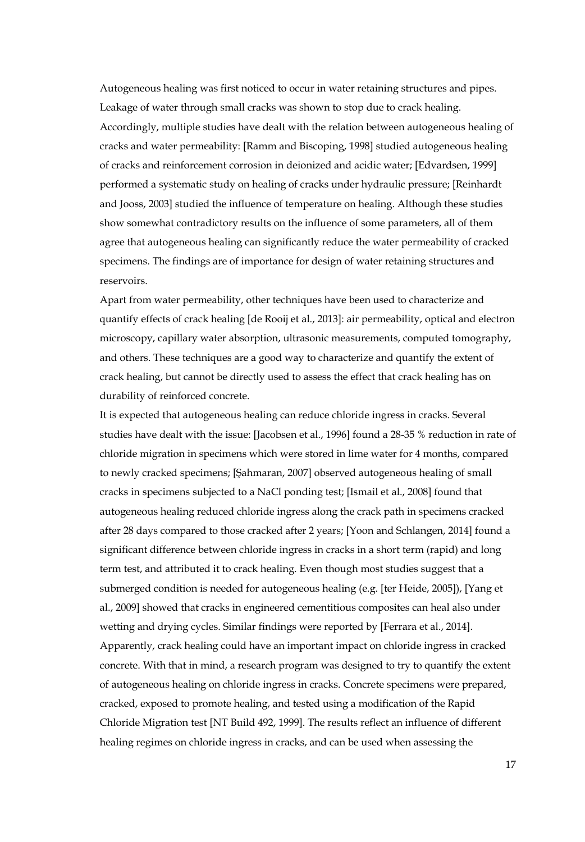Autogeneous healing was first noticed to occur in water retaining structures and pipes. Leakage of water through small cracks was shown to stop due to crack healing. Accordingly, multiple studies have dealt with the relation between autogeneous healing of cracks and water permeability: [Ramm and Biscoping, 1998] studied autogeneous healing of cracks and reinforcement corrosion in deionized and acidic water; [Edvardsen, 1999] performed a systematic study on healing of cracks under hydraulic pressure; [Reinhardt and Jooss, 2003] studied the influence of temperature on healing. Although these studies show somewhat contradictory results on the influence of some parameters, all of them agree that autogeneous healing can significantly reduce the water permeability of cracked specimens. The findings are of importance for design of water retaining structures and reservoirs.

Apart from water permeability, other techniques have been used to characterize and quantify effects of crack healing [de Rooij et al., 2013]: air permeability, optical and electron microscopy, capillary water absorption, ultrasonic measurements, computed tomography, and others. These techniques are a good way to characterize and quantify the extent of crack healing, but cannot be directly used to assess the effect that crack healing has on durability of reinforced concrete.

It is expected that autogeneous healing can reduce chloride ingress in cracks. Several studies have dealt with the issue: [Jacobsen et al., 1996] found a 28-35 % reduction in rate of chloride migration in specimens which were stored in lime water for 4 months, compared to newly cracked specimens; [Şahmaran, 2007] observed autogeneous healing of small cracks in specimens subjected to a NaCl ponding test; [Ismail et al., 2008] found that autogeneous healing reduced chloride ingress along the crack path in specimens cracked after 28 days compared to those cracked after 2 years; [Yoon and Schlangen, 2014] found a significant difference between chloride ingress in cracks in a short term (rapid) and long term test, and attributed it to crack healing. Even though most studies suggest that a submerged condition is needed for autogeneous healing (e.g. [ter Heide, 2005]), [Yang et al., 2009] showed that cracks in engineered cementitious composites can heal also under wetting and drying cycles. Similar findings were reported by [Ferrara et al., 2014]. Apparently, crack healing could have an important impact on chloride ingress in cracked concrete. With that in mind, a research program was designed to try to quantify the extent of autogeneous healing on chloride ingress in cracks. Concrete specimens were prepared, cracked, exposed to promote healing, and tested using a modification of the Rapid Chloride Migration test [NT Build 492, 1999]. The results reflect an influence of different healing regimes on chloride ingress in cracks, and can be used when assessing the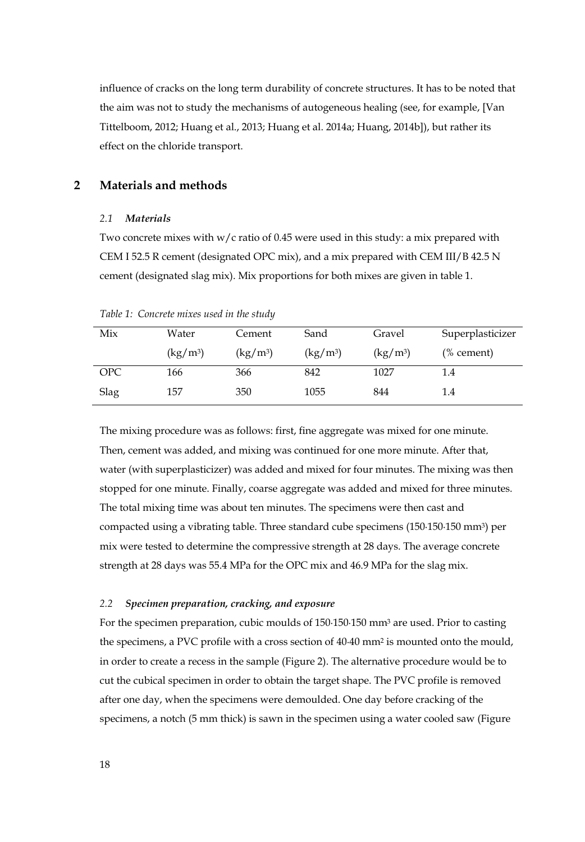influence of cracks on the long term durability of concrete structures. It has to be noted that the aim was not to study the mechanisms of autogeneous healing (see, for example, [Van Tittelboom, 2012; Huang et al., 2013; Huang et al. 2014a; Huang, 2014b]), but rather its effect on the chloride transport.

## **2 Materials and methods**

#### *2.1 Materials*

Two concrete mixes with w/c ratio of 0.45 were used in this study: a mix prepared with CEM I 52.5 R cement (designated OPC mix), and a mix prepared with CEM III/B 42.5 N cement (designated slag mix). Mix proportions for both mixes are given in table 1.

| Mix  | Water                                       | Cement                                      | Sand                           | Gravel                         | Superplasticizer |
|------|---------------------------------------------|---------------------------------------------|--------------------------------|--------------------------------|------------------|
|      | $\left(\frac{\text{kg}}{\text{m}^3}\right)$ | $\left(\frac{\text{kg}}{\text{m}^3}\right)$ | $\frac{\text{kg}}{\text{m}^3}$ | $\frac{\text{kg}}{\text{m}^3}$ | $%$ cement)      |
| OPC  | 166                                         | 366                                         | 842                            | 1027                           | 1.4              |
| Slag | 157                                         | 350                                         | 1055                           | 844                            | 1.4              |

*Table 1: Concrete mixes used in the study* 

The mixing procedure was as follows: first, fine aggregate was mixed for one minute. Then, cement was added, and mixing was continued for one more minute. After that, water (with superplasticizer) was added and mixed for four minutes. The mixing was then stopped for one minute. Finally, coarse aggregate was added and mixed for three minutes. The total mixing time was about ten minutes. The specimens were then cast and compacted using a vibrating table. Three standard cube specimens (150·150·150 mm3) per mix were tested to determine the compressive strength at 28 days. The average concrete strength at 28 days was 55.4 MPa for the OPC mix and 46.9 MPa for the slag mix.

#### *2.2 Specimen preparation, cracking, and exposure*

For the specimen preparation, cubic moulds of 150·150·150 mm3 are used. Prior to casting the specimens, a PVC profile with a cross section of 40·40 mm2 is mounted onto the mould, in order to create a recess in the sample (Figure 2). The alternative procedure would be to cut the cubical specimen in order to obtain the target shape. The PVC profile is removed after one day, when the specimens were demoulded. One day before cracking of the specimens, a notch (5 mm thick) is sawn in the specimen using a water cooled saw (Figure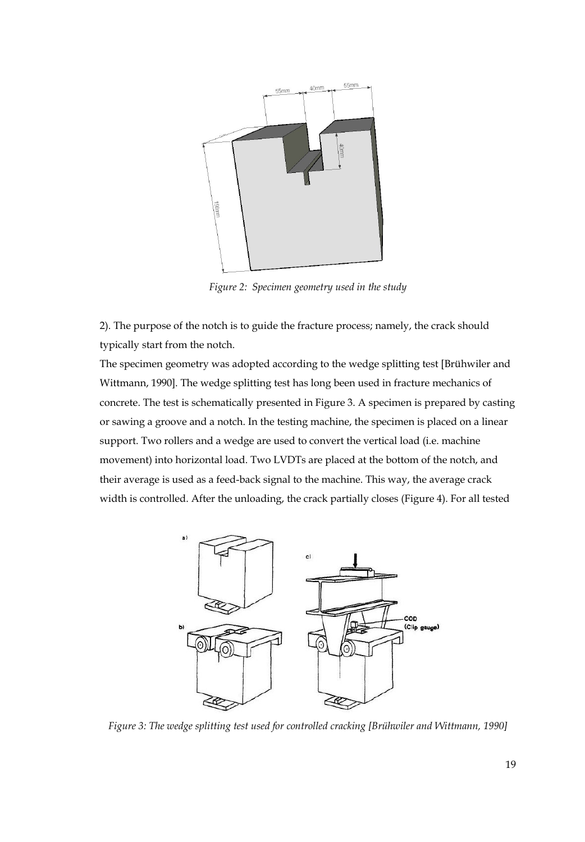

*Figure 2: Specimen geometry used in the study* 

2). The purpose of the notch is to guide the fracture process; namely, the crack should typically start from the notch.

The specimen geometry was adopted according to the wedge splitting test [Brühwiler and Wittmann, 1990]. The wedge splitting test has long been used in fracture mechanics of concrete. The test is schematically presented in Figure 3. A specimen is prepared by casting or sawing a groove and a notch. In the testing machine, the specimen is placed on a linear support. Two rollers and a wedge are used to convert the vertical load (i.e. machine movement) into horizontal load. Two LVDTs are placed at the bottom of the notch, and their average is used as a feed-back signal to the machine. This way, the average crack width is controlled. After the unloading, the crack partially closes (Figure 4). For all tested



*Figure 3: The wedge splitting test used for controlled cracking [Brühwiler and Wittmann, 1990]*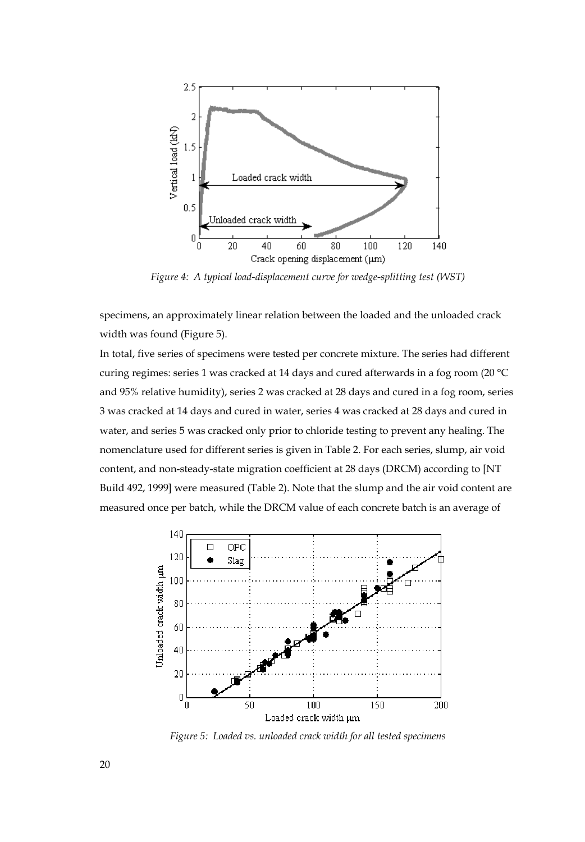

*Figure 4: A typical load-displacement curve for wedge-splitting test (WST)* 

specimens, an approximately linear relation between the loaded and the unloaded crack width was found (Figure 5).

In total, five series of specimens were tested per concrete mixture. The series had different curing regimes: series 1 was cracked at 14 days and cured afterwards in a fog room (20 °C and 95% relative humidity), series 2 was cracked at 28 days and cured in a fog room, series 3 was cracked at 14 days and cured in water, series 4 was cracked at 28 days and cured in water, and series 5 was cracked only prior to chloride testing to prevent any healing. The nomenclature used for different series is given in Table 2. For each series, slump, air void content, and non-steady-state migration coefficient at 28 days (DRCM) according to [NT Build 492, 1999] were measured (Table 2). Note that the slump and the air void content are measured once per batch, while the DRCM value of each concrete batch is an average of



*Figure 5: Loaded vs. unloaded crack width for all tested specimens*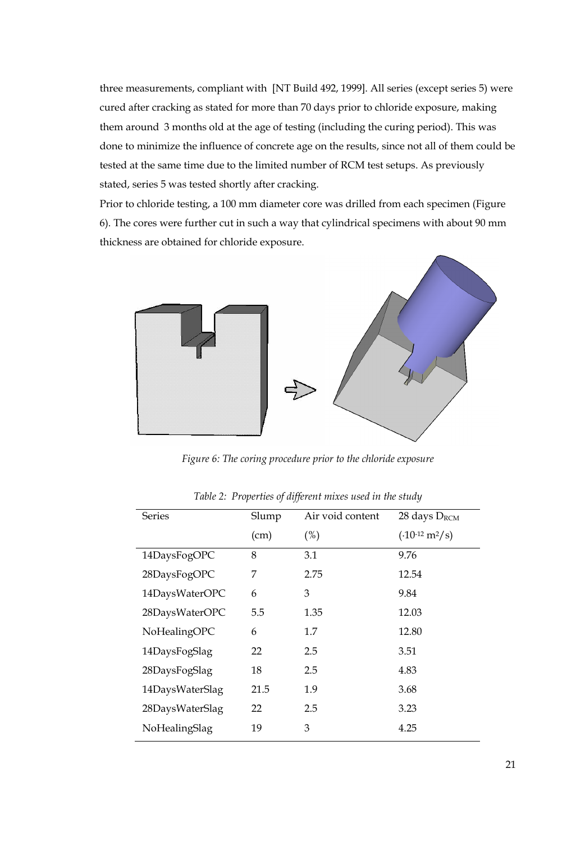three measurements, compliant with [NT Build 492, 1999]. All series (except series 5) were cured after cracking as stated for more than 70 days prior to chloride exposure, making them around 3 months old at the age of testing (including the curing period). This was done to minimize the influence of concrete age on the results, since not all of them could be tested at the same time due to the limited number of RCM test setups. As previously stated, series 5 was tested shortly after cracking.

Prior to chloride testing, a 100 mm diameter core was drilled from each specimen (Figure 6). The cores were further cut in such a way that cylindrical specimens with about 90 mm thickness are obtained for chloride exposure.



*Figure 6: The coring procedure prior to the chloride exposure* 

| <b>Series</b>   | Slump | Air void content | 28 days $D_{RCM}$   |
|-----------------|-------|------------------|---------------------|
|                 | (cm)  | (%)              | $(.10^{-12} m^2/s)$ |
| 14DaysFogOPC    | 8     | 3.1              | 9.76                |
| 28DaysFogOPC    | 7     | 2.75             | 12.54               |
| 14DaysWaterOPC  | 6     | 3                | 9.84                |
| 28DaysWaterOPC  | 5.5   | 1.35             | 12.03               |
| NoHealingOPC    | 6     | 1.7              | 12.80               |
| 14DaysFogSlag   | 22    | 2.5              | 3.51                |
| 28DaysFogSlag   | 18    | 2.5              | 4.83                |
| 14DaysWaterSlag | 21.5  | 1.9              | 3.68                |
| 28DaysWaterSlag | 22    | 2.5              | 3.23                |
| NoHealingSlag   | 19    | 3                | 4.25                |

*Table 2: Properties of different mixes used in the study*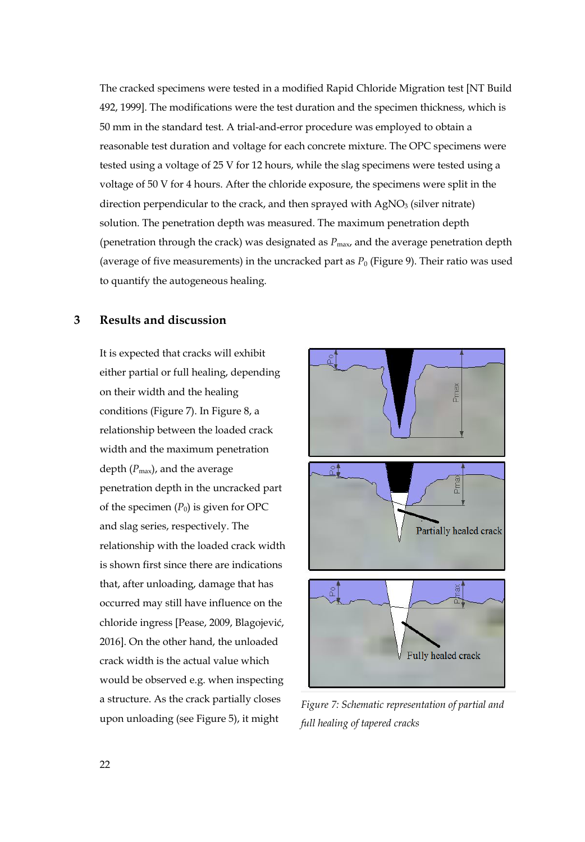The cracked specimens were tested in a modified Rapid Chloride Migration test [NT Build 492, 1999]. The modifications were the test duration and the specimen thickness, which is 50 mm in the standard test. A trial-and-error procedure was employed to obtain a reasonable test duration and voltage for each concrete mixture. The OPC specimens were tested using a voltage of 25 V for 12 hours, while the slag specimens were tested using a voltage of 50 V for 4 hours. After the chloride exposure, the specimens were split in the direction perpendicular to the crack, and then sprayed with  $AgNO<sub>3</sub>$  (silver nitrate) solution. The penetration depth was measured. The maximum penetration depth (penetration through the crack) was designated as  $P_{\text{max}}$  and the average penetration depth (average of five measurements) in the uncracked part as  $P_0$  (Figure 9). Their ratio was used to quantify the autogeneous healing.

# **3 Results and discussion**

It is expected that cracks will exhibit either partial or full healing, depending on their width and the healing conditions (Figure 7). In Figure 8, a relationship between the loaded crack width and the maximum penetration depth  $(P_{\text{max}})$ , and the average penetration depth in the uncracked part of the specimen  $(P_0)$  is given for OPC and slag series, respectively. The relationship with the loaded crack width is shown first since there are indications that, after unloading, damage that has occurred may still have influence on the chloride ingress [Pease, 2009, Blagojević, 2016]. On the other hand, the unloaded crack width is the actual value which would be observed e.g. when inspecting a structure. As the crack partially closes upon unloading (see Figure 5), it might



*Figure 7: Schematic representation of partial and full healing of tapered cracks*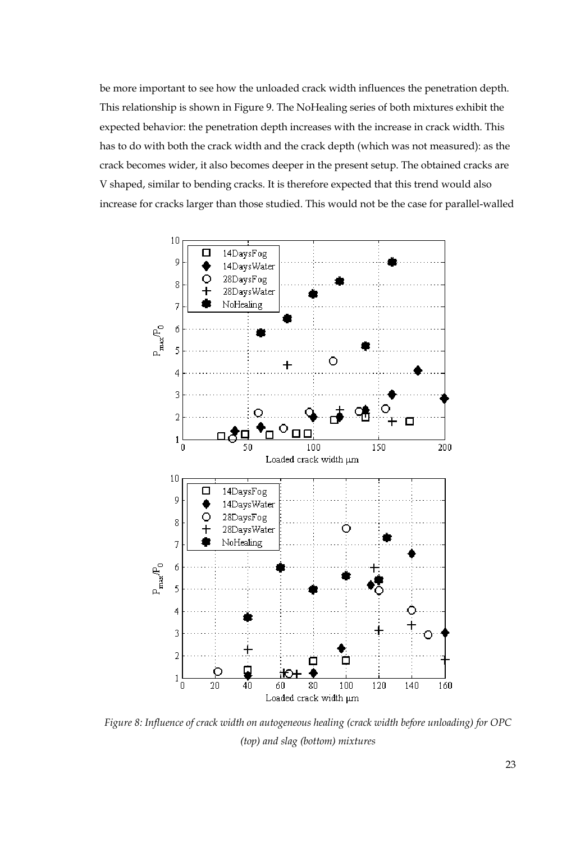be more important to see how the unloaded crack width influences the penetration depth. This relationship is shown in Figure 9. The NoHealing series of both mixtures exhibit the expected behavior: the penetration depth increases with the increase in crack width. This has to do with both the crack width and the crack depth (which was not measured): as the crack becomes wider, it also becomes deeper in the present setup. The obtained cracks are V shaped, similar to bending cracks. It is therefore expected that this trend would also increase for cracks larger than those studied. This would not be the case for parallel-walled



*Figure 8: Influence of crack width on autogeneous healing (crack width before unloading) for OPC (top) and slag (bottom) mixtures*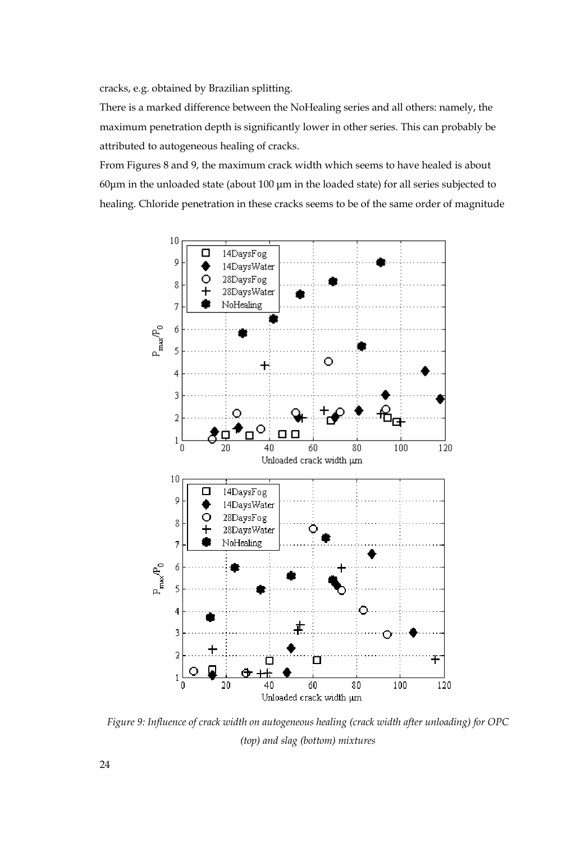cracks, e.g. obtained by Brazilian splitting.

There is a marked difference between the NoHealing series and all others: namely, the maximum penetration depth is significantly lower in other series. This can probably be attributed to autogeneous healing of cracks.

From Figures 8 and 9, the maximum crack width which seems to have healed is about 60μm in the unloaded state (about 100 μm in the loaded state) for all series subjected to healing. Chloride penetration in these cracks seems to be of the same order of magnitude



*Figure 9: Influence of crack width on autogeneous healing (crack width after unloading) for OPC (top) and slag (bottom) mixtures*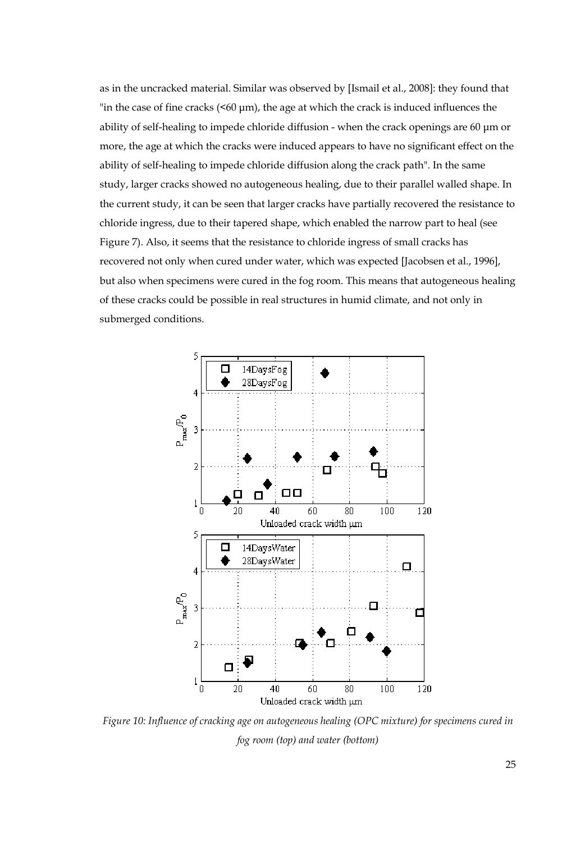as in the uncracked material. Similar was observed by [Ismail et al., 2008]: they found that "in the case of fine cracks  $(560 \text{ µm})$ , the age at which the crack is induced influences the ability of self-healing to impede chloride diffusion - when the crack openings are 60 μm or more, the age at which the cracks were induced appears to have no significant effect on the ability of self-healing to impede chloride diffusion along the crack path". In the same study, larger cracks showed no autogeneous healing, due to their parallel walled shape. In the current study, it can be seen that larger cracks have partially recovered the resistance to chloride ingress, due to their tapered shape, which enabled the narrow part to heal (see Figure 7). Also, it seems that the resistance to chloride ingress of small cracks has recovered not only when cured under water, which was expected [Jacobsen et al., 1996], but also when specimens were cured in the fog room. This means that autogeneous healing of these cracks could be possible in real structures in humid climate, and not only in submerged conditions.



*Figure 10: Influence of cracking age on autogeneous healing (OPC mixture) for specimens cured in fog room (top) and water (bottom)*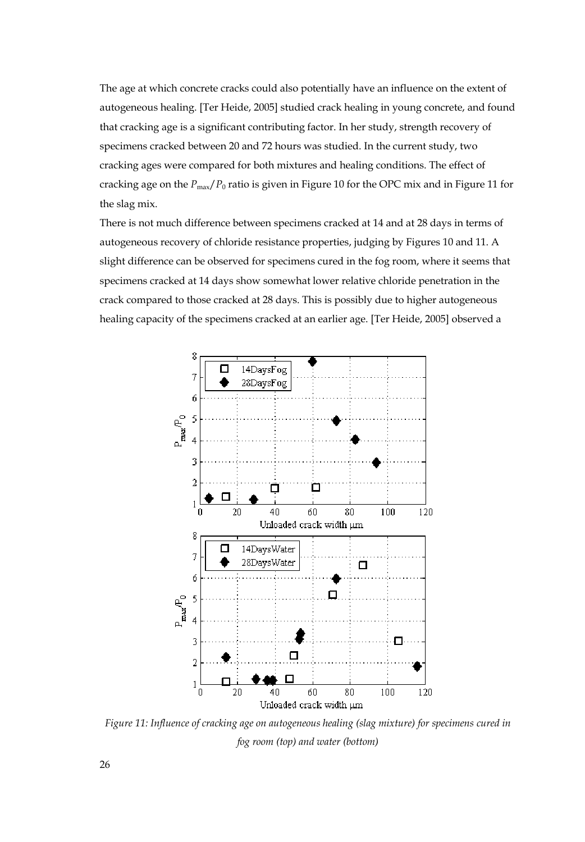The age at which concrete cracks could also potentially have an influence on the extent of autogeneous healing. [Ter Heide, 2005] studied crack healing in young concrete, and found that cracking age is a significant contributing factor. In her study, strength recovery of specimens cracked between 20 and 72 hours was studied. In the current study, two cracking ages were compared for both mixtures and healing conditions. The effect of cracking age on the *P*max/*P*0 ratio is given in Figure 10 for the OPC mix and in Figure 11 for the slag mix.

There is not much difference between specimens cracked at 14 and at 28 days in terms of autogeneous recovery of chloride resistance properties, judging by Figures 10 and 11. A slight difference can be observed for specimens cured in the fog room, where it seems that specimens cracked at 14 days show somewhat lower relative chloride penetration in the crack compared to those cracked at 28 days. This is possibly due to higher autogeneous healing capacity of the specimens cracked at an earlier age. [Ter Heide, 2005] observed a



*Figure 11: Influence of cracking age on autogeneous healing (slag mixture) for specimens cured in fog room (top) and water (bottom)*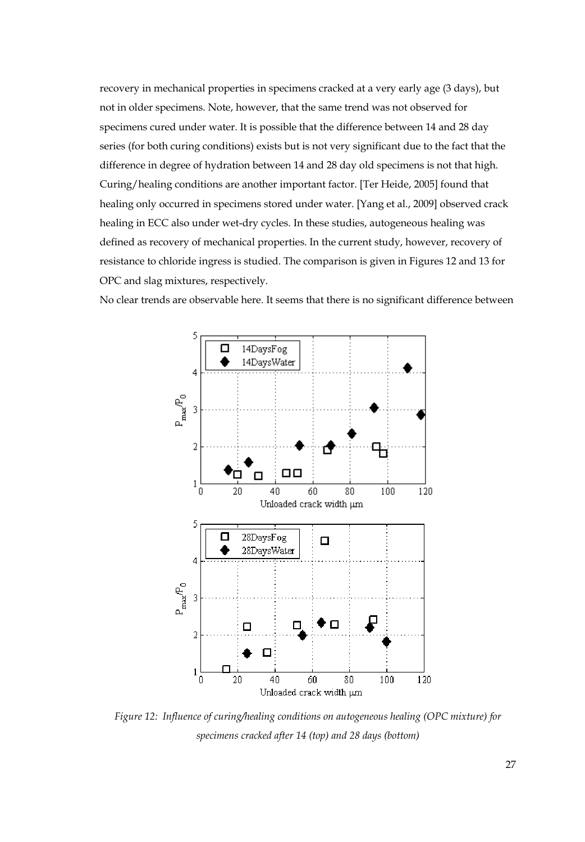recovery in mechanical properties in specimens cracked at a very early age (3 days), but not in older specimens. Note, however, that the same trend was not observed for specimens cured under water. It is possible that the difference between 14 and 28 day series (for both curing conditions) exists but is not very significant due to the fact that the difference in degree of hydration between 14 and 28 day old specimens is not that high. Curing/healing conditions are another important factor. [Ter Heide, 2005] found that healing only occurred in specimens stored under water. [Yang et al., 2009] observed crack healing in ECC also under wet-dry cycles. In these studies, autogeneous healing was defined as recovery of mechanical properties. In the current study, however, recovery of resistance to chloride ingress is studied. The comparison is given in Figures 12 and 13 for OPC and slag mixtures, respectively.

No clear trends are observable here. It seems that there is no significant difference between



*Figure 12: Influence of curing/healing conditions on autogeneous healing (OPC mixture) for specimens cracked after 14 (top) and 28 days (bottom)*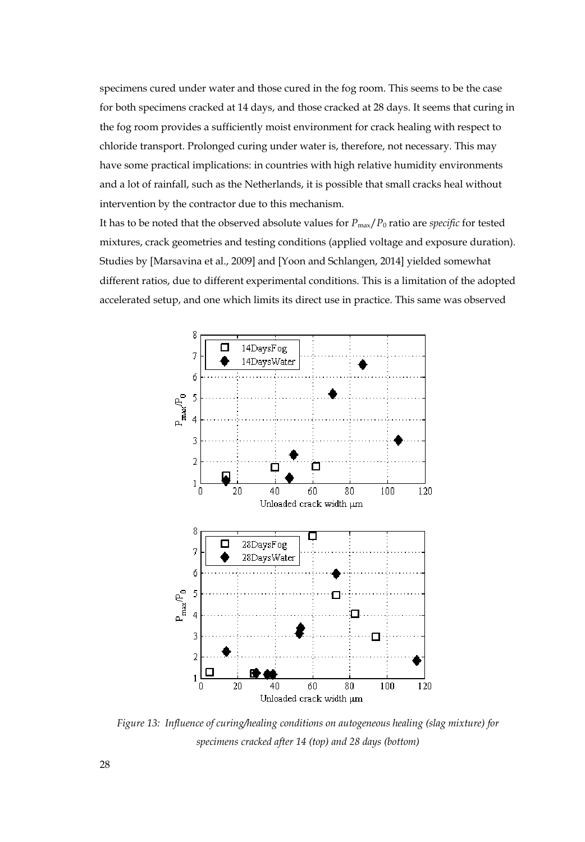specimens cured under water and those cured in the fog room. This seems to be the case for both specimens cracked at 14 days, and those cracked at 28 days. It seems that curing in the fog room provides a sufficiently moist environment for crack healing with respect to chloride transport. Prolonged curing under water is, therefore, not necessary. This may have some practical implications: in countries with high relative humidity environments and a lot of rainfall, such as the Netherlands, it is possible that small cracks heal without intervention by the contractor due to this mechanism.

It has to be noted that the observed absolute values for  $P_{\text{max}}/P_0$  ratio are *specific* for tested mixtures, crack geometries and testing conditions (applied voltage and exposure duration). Studies by [Marsavina et al., 2009] and [Yoon and Schlangen, 2014] yielded somewhat different ratios, due to different experimental conditions. This is a limitation of the adopted accelerated setup, and one which limits its direct use in practice. This same was observed



*Figure 13: Influence of curing/healing conditions on autogeneous healing (slag mixture) for specimens cracked after 14 (top) and 28 days (bottom)*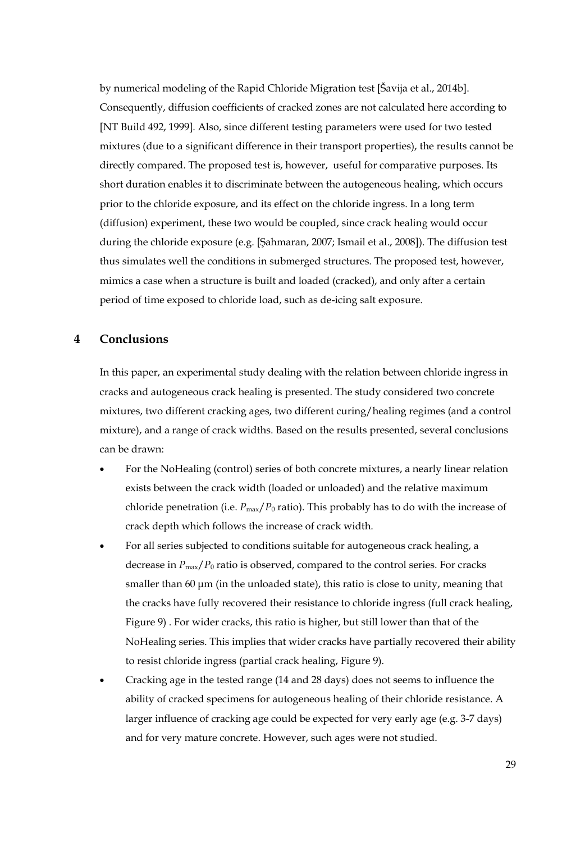by numerical modeling of the Rapid Chloride Migration test [Šavija et al., 2014b]. Consequently, diffusion coefficients of cracked zones are not calculated here according to [NT Build 492, 1999]. Also, since different testing parameters were used for two tested mixtures (due to a significant difference in their transport properties), the results cannot be directly compared. The proposed test is, however, useful for comparative purposes. Its short duration enables it to discriminate between the autogeneous healing, which occurs prior to the chloride exposure, and its effect on the chloride ingress. In a long term (diffusion) experiment, these two would be coupled, since crack healing would occur during the chloride exposure (e.g. [Şahmaran, 2007; Ismail et al., 2008]). The diffusion test thus simulates well the conditions in submerged structures. The proposed test, however, mimics a case when a structure is built and loaded (cracked), and only after a certain period of time exposed to chloride load, such as de-icing salt exposure.

## **4 Conclusions**

In this paper, an experimental study dealing with the relation between chloride ingress in cracks and autogeneous crack healing is presented. The study considered two concrete mixtures, two different cracking ages, two different curing/healing regimes (and a control mixture), and a range of crack widths. Based on the results presented, several conclusions can be drawn:

- For the NoHealing (control) series of both concrete mixtures, a nearly linear relation exists between the crack width (loaded or unloaded) and the relative maximum chloride penetration (i.e.  $P_{\text{max}}/P_0$  ratio). This probably has to do with the increase of crack depth which follows the increase of crack width.
- For all series subjected to conditions suitable for autogeneous crack healing, a decrease in  $P_{\text{max}}/P_0$  ratio is observed, compared to the control series. For cracks smaller than 60 μm (in the unloaded state), this ratio is close to unity, meaning that the cracks have fully recovered their resistance to chloride ingress (full crack healing, Figure 9) . For wider cracks, this ratio is higher, but still lower than that of the NoHealing series. This implies that wider cracks have partially recovered their ability to resist chloride ingress (partial crack healing, Figure 9).
- Cracking age in the tested range (14 and 28 days) does not seems to influence the ability of cracked specimens for autogeneous healing of their chloride resistance. A larger influence of cracking age could be expected for very early age (e.g. 3-7 days) and for very mature concrete. However, such ages were not studied.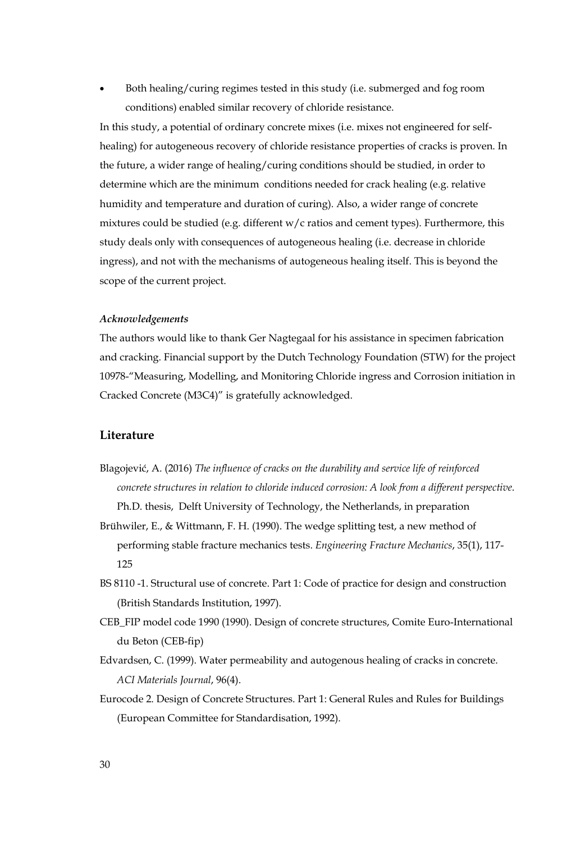• Both healing/curing regimes tested in this study (i.e. submerged and fog room conditions) enabled similar recovery of chloride resistance.

In this study, a potential of ordinary concrete mixes (i.e. mixes not engineered for selfhealing) for autogeneous recovery of chloride resistance properties of cracks is proven. In the future, a wider range of healing/curing conditions should be studied, in order to determine which are the minimum conditions needed for crack healing (e.g. relative humidity and temperature and duration of curing). Also, a wider range of concrete mixtures could be studied (e.g. different w/c ratios and cement types). Furthermore, this study deals only with consequences of autogeneous healing (i.e. decrease in chloride ingress), and not with the mechanisms of autogeneous healing itself. This is beyond the scope of the current project.

#### *Acknowledgements*

The authors would like to thank Ger Nagtegaal for his assistance in specimen fabrication and cracking. Financial support by the Dutch Technology Foundation (STW) for the project 10978-"Measuring, Modelling, and Monitoring Chloride ingress and Corrosion initiation in Cracked Concrete (M3C4)" is gratefully acknowledged.

### **Literature**

- Blagojević, A. (2016) *The influence of cracks on the durability and service life of reinforced concrete structures in relation to chloride induced corrosion: A look from a different perspective*. Ph.D. thesis, Delft University of Technology, the Netherlands, in preparation
- Brühwiler, E., & Wittmann, F. H. (1990). The wedge splitting test, a new method of performing stable fracture mechanics tests. *Engineering Fracture Mechanics*, 35(1), 117- 125
- BS 8110 -1. Structural use of concrete. Part 1: Code of practice for design and construction (British Standards Institution, 1997).
- CEB\_FIP model code 1990 (1990). Design of concrete structures, Comite Euro-International du Beton (CEB-fip)
- Edvardsen, C. (1999). Water permeability and autogenous healing of cracks in concrete. *ACI Materials Journal*, 96(4).
- Eurocode 2. Design of Concrete Structures. Part 1: General Rules and Rules for Buildings (European Committee for Standardisation, 1992).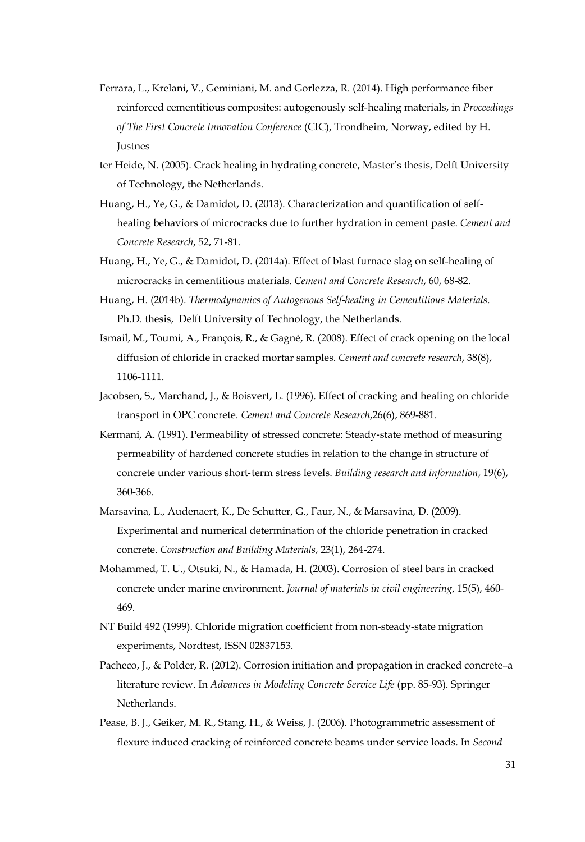- Ferrara, L., Krelani, V., Geminiani, M. and Gorlezza, R. (2014). High performance fiber reinforced cementitious composites: autogenously self-healing materials, in *Proceedings of The First Concrete Innovation Conference* (CIC), Trondheim, Norway, edited by H. Justnes
- ter Heide, N. (2005). Crack healing in hydrating concrete, Master's thesis, Delft University of Technology, the Netherlands.
- Huang, H., Ye, G., & Damidot, D. (2013). Characterization and quantification of selfhealing behaviors of microcracks due to further hydration in cement paste. *Cement and Concrete Research*, 52, 71-81.
- Huang, H., Ye, G., & Damidot, D. (2014a). Effect of blast furnace slag on self-healing of microcracks in cementitious materials. *Cement and Concrete Research*, 60, 68-82.
- Huang, H. (2014b). *Thermodynamics of Autogenous Self-healing in Cementitious Materials*. Ph.D. thesis, Delft University of Technology, the Netherlands.
- Ismail, M., Toumi, A., François, R., & Gagné, R. (2008). Effect of crack opening on the local diffusion of chloride in cracked mortar samples. *Cement and concrete research*, 38(8), 1106-1111.
- Jacobsen, S., Marchand, J., & Boisvert, L. (1996). Effect of cracking and healing on chloride transport in OPC concrete. *Cement and Concrete Research*,26(6), 869-881.
- Kermani, A. (1991). Permeability of stressed concrete: Steady‐state method of measuring permeability of hardened concrete studies in relation to the change in structure of concrete under various short‐term stress levels. *Building research and information*, 19(6), 360-366.
- Marsavina, L., Audenaert, K., De Schutter, G., Faur, N., & Marsavina, D. (2009). Experimental and numerical determination of the chloride penetration in cracked concrete. *Construction and Building Materials*, 23(1), 264-274.
- Mohammed, T. U., Otsuki, N., & Hamada, H. (2003). Corrosion of steel bars in cracked concrete under marine environment. *Journal of materials in civil engineering*, 15(5), 460- 469.
- NT Build 492 (1999). Chloride migration coefficient from non-steady-state migration experiments, Nordtest, ISSN 02837153.
- Pacheco, J., & Polder, R. (2012). Corrosion initiation and propagation in cracked concrete–a literature review. In *Advances in Modeling Concrete Service Life* (pp. 85-93). Springer Netherlands.
- Pease, B. J., Geiker, M. R., Stang, H., & Weiss, J. (2006). Photogrammetric assessment of flexure induced cracking of reinforced concrete beams under service loads. In *Second*